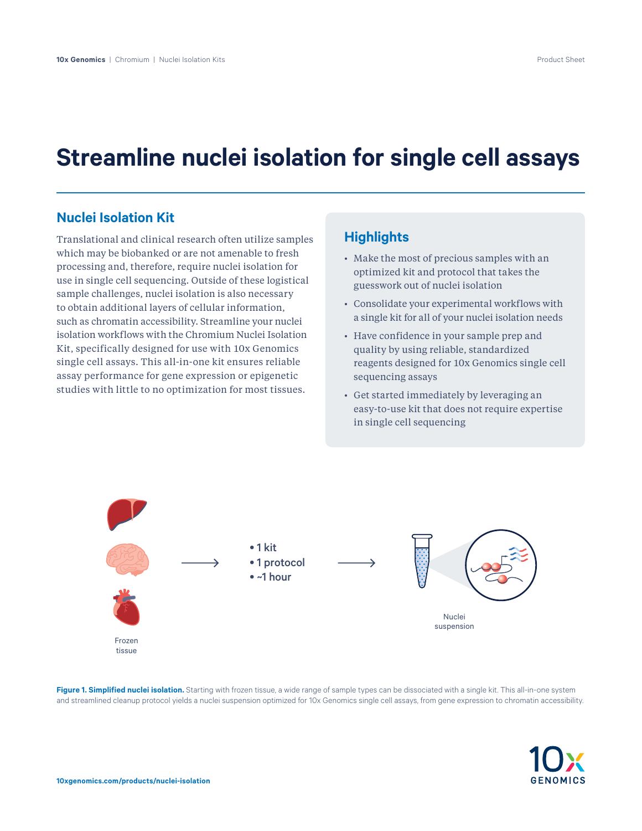# **Streamline nuclei isolation for single cell assays**

#### **Nuclei Isolation Kit**

Translational and clinical research often utilize samples which may be biobanked or are not amenable to fresh processing and, therefore, require nuclei isolation for use in single cell sequencing. Outside of these logistical sample challenges, nuclei isolation is also necessary to obtain additional layers of cellular information, such as chromatin accessibility. Streamline your nuclei isolation workflows with the Chromium Nuclei Isolation Kit, specifically designed for use with 10x Genomics single cell assays. This all-in-one kit ensures reliable assay performance for gene expression or epigenetic studies with little to no optimization for most tissues.

### **Highlights**

- Make the most of precious samples with an optimized kit and protocol that takes the guesswork out of nuclei isolation
- Consolidate your experimental workflows with a single kit for all of your nuclei isolation needs
- Have confidence in your sample prep and quality by using reliable, standardized reagents designed for 10x Genomics single cell sequencing assays
- Get started immediately by leveraging an easy-to-use kit that does not require expertise in single cell sequencing



**Figure 1. Simplified nuclei isolation.** Starting with frozen tissue, a wide range of sample types can be dissociated with a single kit. This all-in-one system and streamlined cleanup protocol yields a nuclei suspension optimized for 10x Genomics single cell assays, from gene expression to chromatin accessibility.

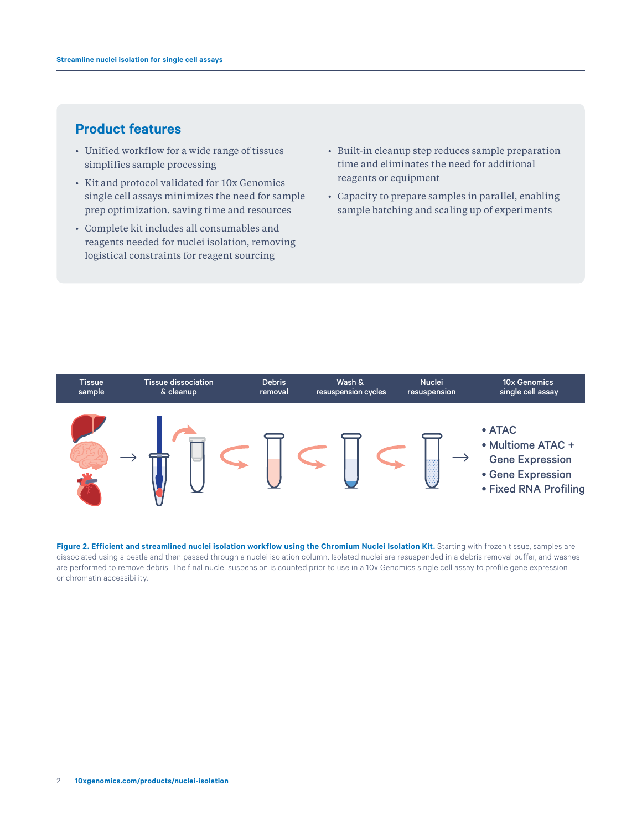# **Product features**

- Unified workflow for a wide range of tissues simplifies sample processing
- Kit and protocol validated for 10x Genomics single cell assays minimizes the need for sample prep optimization, saving time and resources
- Complete kit includes all consumables and reagents needed for nuclei isolation, removing logistical constraints for reagent sourcing
- Built-in cleanup step reduces sample preparation time and eliminates the need for additional reagents or equipment
- Capacity to prepare samples in parallel, enabling sample batching and scaling up of experiments



Figure 2. Efficient and streamlined nuclei isolation workflow using the Chromium Nuclei Isolation Kit. Starting with frozen tissue, samples are dissociated using a pestle and then passed through a nuclei isolation column. Isolated nuclei are resuspended in a debris removal buffer, and washes are performed to remove debris. The final nuclei suspension is counted prior to use in a 10x Genomics single cell assay to profile gene expression or chromatin accessibility.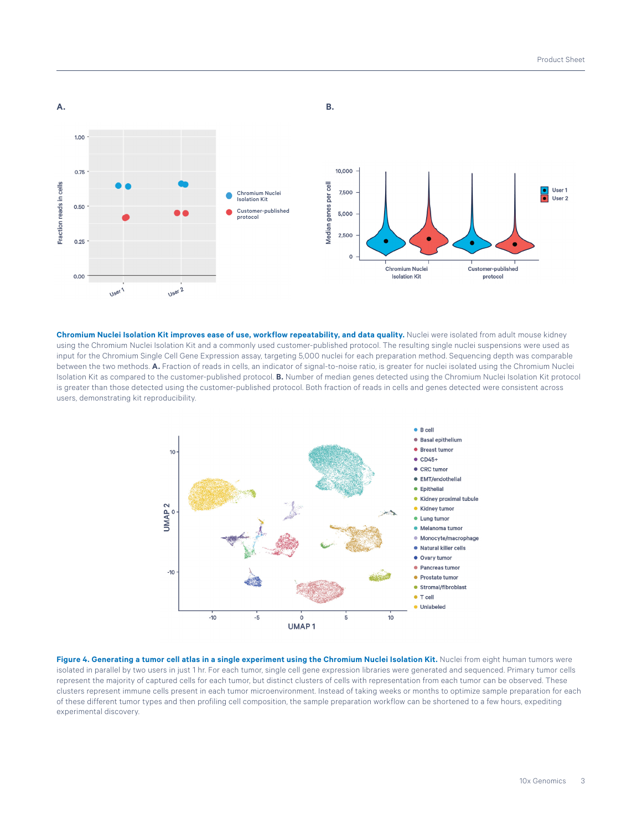

Chromium Nuclei Isolation Kit improves ease of use, workflow repeatability, and data quality. Nuclei were isolated from adult mouse kidney using the Chromium Nuclei Isolation Kit and a commonly used customer-published protocol. The resulting single nuclei suspensions were used as input for the Chromium Single Cell Gene Expression assay, targeting 5,000 nuclei for each preparation method. Sequencing depth was comparable between the two methods. **A.** Fraction of reads in cells, an indicator of signal-to-noise ratio, is greater for nuclei isolated using the Chromium Nuclei Isolation Kit as compared to the customer-published protocol. **B.** Number of median genes detected using the Chromium Nuclei Isolation Kit protocol is greater than those detected using the customer-published protocol. Both fraction of reads in cells and genes detected were consistent across users, demonstrating kit reproducibility.



Figure 4. Generating a tumor cell atlas in a single experiment using the Chromium Nuclei Isolation Kit. Nuclei from eight human tumors were isolated in parallel by two users in just 1 hr. For each tumor, single cell gene expression libraries were generated and sequenced. Primary tumor cells represent the majority of captured cells for each tumor, but distinct clusters of cells with representation from each tumor can be observed. These clusters represent immune cells present in each tumor microenvironment. Instead of taking weeks or months to optimize sample preparation for each of these different tumor types and then profiling cell composition, the sample preparation workflow can be shortened to a few hours, expediting experimental discovery.